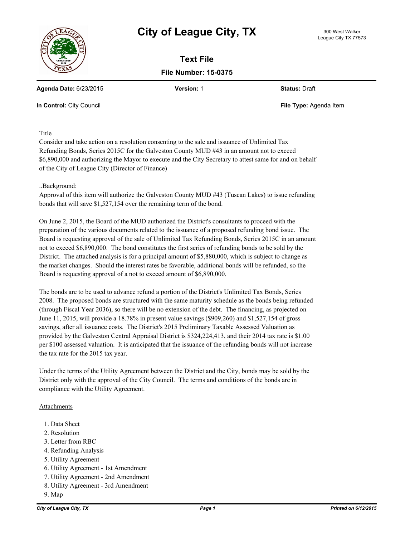## **City of League City, TX** 300 West Walker



**Text File File Number: 15-0375**

**Agenda Date:** 6/23/2015 **Version:** 1 **Status:** Draft

**In Control:** City Council **File Type:** Agenda Item

Title

Consider and take action on a resolution consenting to the sale and issuance of Unlimited Tax Refunding Bonds, Series 2015C for the Galveston County MUD #43 in an amount not to exceed \$6,890,000 and authorizing the Mayor to execute and the City Secretary to attest same for and on behalf of the City of League City (Director of Finance)

## ..Background:

Approval of this item will authorize the Galveston County MUD #43 (Tuscan Lakes) to issue refunding bonds that will save \$1,527,154 over the remaining term of the bond.

On June 2, 2015, the Board of the MUD authorized the District's consultants to proceed with the preparation of the various documents related to the issuance of a proposed refunding bond issue. The Board is requesting approval of the sale of Unlimited Tax Refunding Bonds, Series 2015C in an amount not to exceed \$6,890,000. The bond constitutes the first series of refunding bonds to be sold by the District. The attached analysis is for a principal amount of \$5,880,000, which is subject to change as the market changes. Should the interest rates be favorable, additional bonds will be refunded, so the Board is requesting approval of a not to exceed amount of \$6,890,000.

The bonds are to be used to advance refund a portion of the District's Unlimited Tax Bonds, Series 2008. The proposed bonds are structured with the same maturity schedule as the bonds being refunded (through Fiscal Year 2036), so there will be no extension of the debt. The financing, as projected on June 11, 2015, will provide a 18.78% in present value savings (\$909,260) and \$1,527,154 of gross savings, after all issuance costs. The District's 2015 Preliminary Taxable Assessed Valuation as provided by the Galveston Central Appraisal District is \$324,224,413, and their 2014 tax rate is \$1.00 per \$100 assessed valuation. It is anticipated that the issuance of the refunding bonds will not increase the tax rate for the 2015 tax year.

Under the terms of the Utility Agreement between the District and the City, bonds may be sold by the District only with the approval of the City Council. The terms and conditions of the bonds are in compliance with the Utility Agreement.

## Attachments

- 1. Data Sheet
- 2. Resolution
- 3. Letter from RBC
- 4. Refunding Analysis
- 5. Utility Agreement
- 6. Utility Agreement 1st Amendment
- 7. Utility Agreement 2nd Amendment
- 8. Utility Agreement 3rd Amendment
- 9. Map